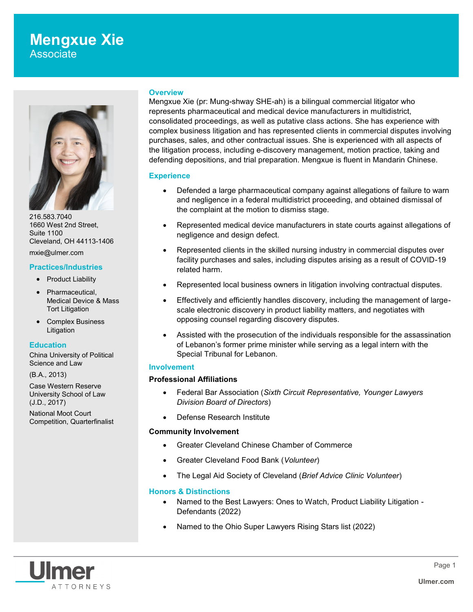

216.583.7040 1660 West 2nd Street, Suite 1100 Cleveland, OH 44113-1406

mxie@ulmer.com

#### **Practices/Industries**

- Product Liability
- Pharmaceutical, Medical Device & Mass Tort Litigation
- Complex Business Litigation

#### **Education**

China University of Political Science and Law

(B.A., 2013)

Case Western Reserve University School of Law (J.D., 2017)

National Moot Court Competition, Quarterfinalist

#### **Overview**

Mengxue Xie (pr: Mung-shway SHE-ah) is a bilingual commercial litigator who represents pharmaceutical and medical device manufacturers in multidistrict, consolidated proceedings, as well as putative class actions. She has experience with complex business litigation and has represented clients in commercial disputes involving purchases, sales, and other contractual issues. She is experienced with all aspects of the litigation process, including e-discovery management, motion practice, taking and defending depositions, and trial preparation. Mengxue is fluent in Mandarin Chinese.

# **Experience**

- Defended a large pharmaceutical company against allegations of failure to warn and negligence in a federal multidistrict proceeding, and obtained dismissal of the complaint at the motion to dismiss stage.
- Represented medical device manufacturers in state courts against allegations of negligence and design defect.
- Represented clients in the skilled nursing industry in commercial disputes over facility purchases and sales, including disputes arising as a result of COVID-19 related harm.
- Represented local business owners in litigation involving contractual disputes.
- Effectively and efficiently handles discovery, including the management of largescale electronic discovery in product liability matters, and negotiates with opposing counsel regarding discovery disputes.
- Assisted with the prosecution of the individuals responsible for the assassination of Lebanon's former prime minister while serving as a legal intern with the Special Tribunal for Lebanon.

# **Involvement**

# **Professional Affiliations**

- Federal Bar Association (*Sixth Circuit Representative, Younger Lawyers Division Board of Directors*)
- Defense Research Institute

# **Community Involvement**

- Greater Cleveland Chinese Chamber of Commerce
- Greater Cleveland Food Bank (*Volunteer*)
- The Legal Aid Society of Cleveland (*Brief Advice Clinic Volunteer*)

# **Honors & Distinctions**

- Named to the Best Lawyers: Ones to Watch, Product Liability Litigation Defendants (2022)
- Named to the Ohio Super Lawyers Rising Stars list (2022)

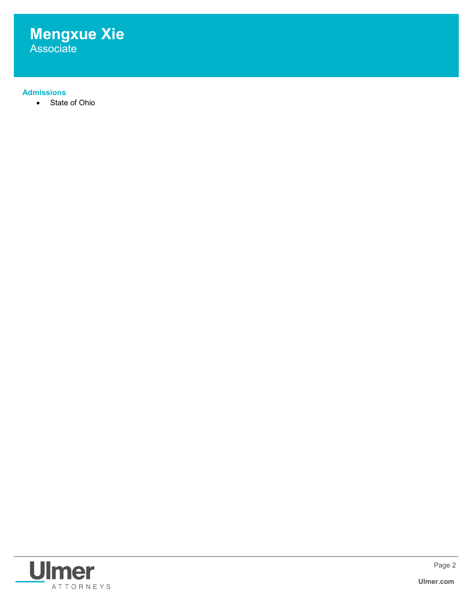

# **Admissions**

State of Ohio